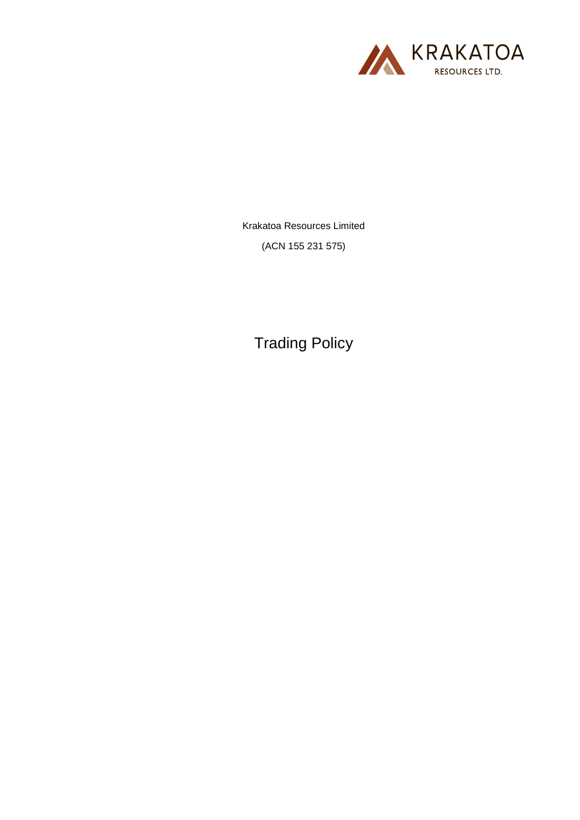

Krakatoa Resources Limited (ACN 155 231 575)

Trading Policy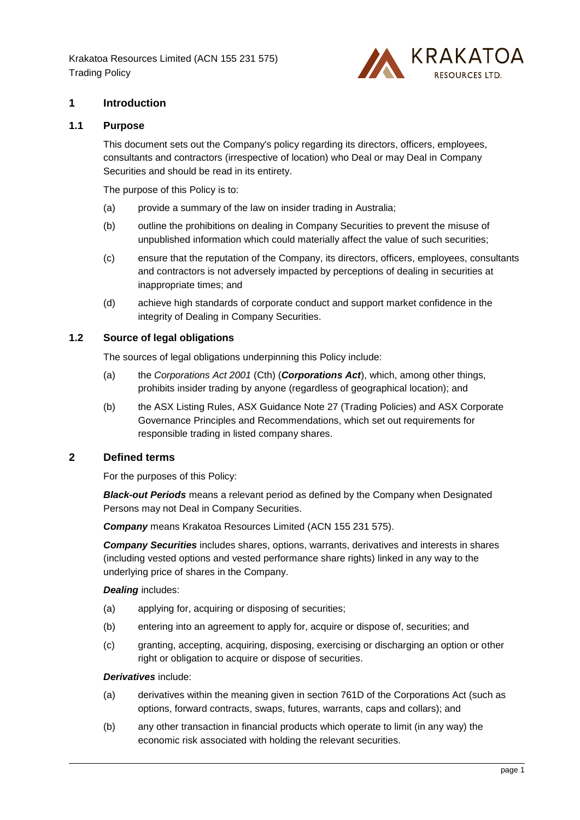

## **1 Introduction**

## **1.1 Purpose**

This document sets out the Company's policy regarding its directors, officers, employees, consultants and contractors (irrespective of location) who Deal or may Deal in Company Securities and should be read in its entirety.

The purpose of this Policy is to:

- (a) provide a summary of the law on insider trading in Australia;
- (b) outline the prohibitions on dealing in Company Securities to prevent the misuse of unpublished information which could materially affect the value of such securities;
- (c) ensure that the reputation of the Company, its directors, officers, employees, consultants and contractors is not adversely impacted by perceptions of dealing in securities at inappropriate times; and
- (d) achieve high standards of corporate conduct and support market confidence in the integrity of Dealing in Company Securities.

## **1.2 Source of legal obligations**

The sources of legal obligations underpinning this Policy include:

- (a) the *Corporations Act 2001* (Cth) (*Corporations Act*), which, among other things, prohibits insider trading by anyone (regardless of geographical location); and
- (b) the ASX Listing Rules, ASX Guidance Note 27 (Trading Policies) and ASX Corporate Governance Principles and Recommendations, which set out requirements for responsible trading in listed company shares.

### **2 Defined terms**

For the purposes of this Policy:

*Black-out Periods* means a relevant period as defined by the Company when Designated Persons may not Deal in Company Securities.

*Company* means Krakatoa Resources Limited (ACN 155 231 575).

*Company Securities* includes shares, options, warrants, derivatives and interests in shares (including vested options and vested performance share rights) linked in any way to the underlying price of shares in the Company.

#### *Dealing* includes:

- (a) applying for, acquiring or disposing of securities;
- (b) entering into an agreement to apply for, acquire or dispose of, securities; and
- (c) granting, accepting, acquiring, disposing, exercising or discharging an option or other right or obligation to acquire or dispose of securities.

#### *Derivatives* include:

- (a) derivatives within the meaning given in section 761D of the Corporations Act (such as options, forward contracts, swaps, futures, warrants, caps and collars); and
- (b) any other transaction in financial products which operate to limit (in any way) the economic risk associated with holding the relevant securities.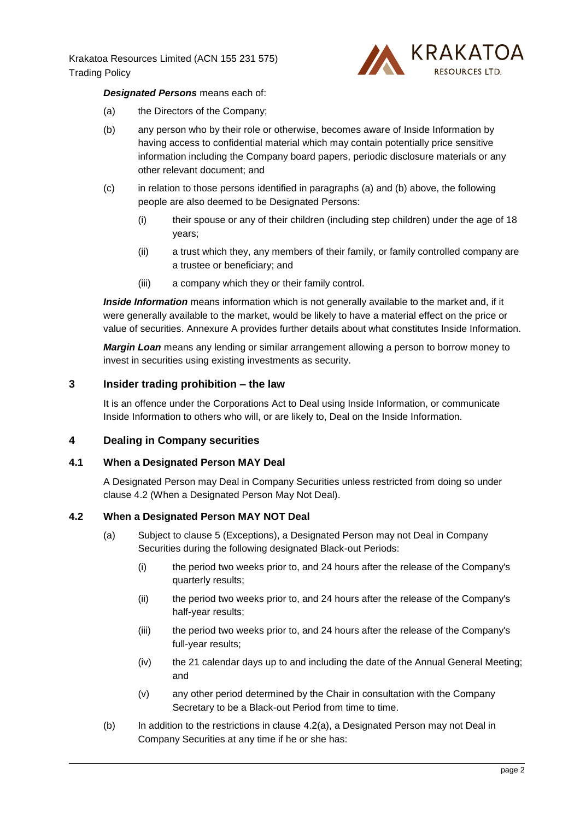

## *Designated Persons* means each of:

- <span id="page-2-0"></span>(a) the Directors of the Company;
- <span id="page-2-1"></span>(b) any person who by their role or otherwise, becomes aware of Inside Information by having access to confidential material which may contain potentially price sensitive information including the Company board papers, periodic disclosure materials or any other relevant document; and
- (c) in relation to those persons identified in paragraphs [\(a\)](#page-2-0) and [\(b\)](#page-2-1) above, the following people are also deemed to be Designated Persons:
	- (i) their spouse or any of their children (including step children) under the age of 18 years;
	- (ii) a trust which they, any members of their family, or family controlled company are a trustee or beneficiary; and
	- (iii) a company which they or their family control.

*Inside Information* means information which is not generally available to the market and, if it were generally available to the market, would be likely to have a material effect on the price or value of securities. [Annexure](#page-7-0) A provides further details about what constitutes Inside Information.

*Margin Loan* means any lending or similar arrangement allowing a person to borrow money to invest in securities using existing investments as security.

## **3 Insider trading prohibition – the law**

It is an offence under the Corporations Act to Deal using Inside Information, or communicate Inside Information to others who will, or are likely to, Deal on the Inside Information.

### **4 Dealing in Company securities**

### **4.1 When a Designated Person MAY Deal**

A Designated Person may Deal in Company Securities unless restricted from doing so under clause [4.2](#page-2-2) (When a Designated Person May Not Deal).

### <span id="page-2-3"></span><span id="page-2-2"></span>**4.2 When a Designated Person MAY NOT Deal**

- (a) Subject to clause [5](#page-3-0) (Exceptions), a Designated Person may not Deal in Company Securities during the following designated Black-out Periods:
	- (i) the period two weeks prior to, and 24 hours after the release of the Company's quarterly results;
	- (ii) the period two weeks prior to, and 24 hours after the release of the Company's half-year results;
	- (iii) the period two weeks prior to, and 24 hours after the release of the Company's full-year results;
	- (iv) the 21 calendar days up to and including the date of the Annual General Meeting; and
	- (v) any other period determined by the Chair in consultation with the Company Secretary to be a Black-out Period from time to time.
- (b) In addition to the restrictions in clause [4.2\(a\),](#page-2-3) a Designated Person may not Deal in Company Securities at any time if he or she has: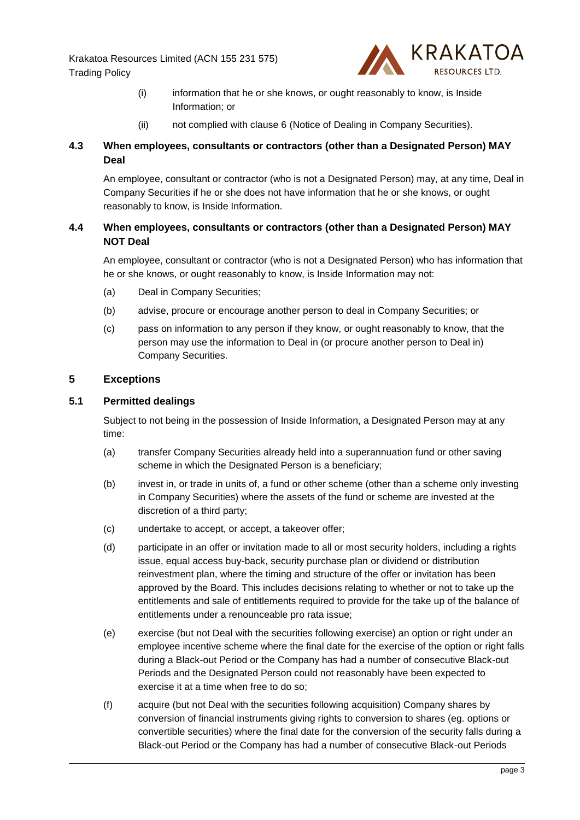

- (i) information that he or she knows, or ought reasonably to know, is Inside Information; or
- (ii) not complied with clause [6](#page-5-0) (Notice of Dealing in Company Securities).

# **4.3 When employees, consultants or contractors (other than a Designated Person) MAY Deal**

An employee, consultant or contractor (who is not a Designated Person) may, at any time, Deal in Company Securities if he or she does not have information that he or she knows, or ought reasonably to know, is Inside Information.

# **4.4 When employees, consultants or contractors (other than a Designated Person) MAY NOT Deal**

An employee, consultant or contractor (who is not a Designated Person) who has information that he or she knows, or ought reasonably to know, is Inside Information may not:

- (a) Deal in Company Securities;
- (b) advise, procure or encourage another person to deal in Company Securities; or
- (c) pass on information to any person if they know, or ought reasonably to know, that the person may use the information to Deal in (or procure another person to Deal in) Company Securities.

## <span id="page-3-0"></span>**5 Exceptions**

## **5.1 Permitted dealings**

Subject to not being in the possession of Inside Information, a Designated Person may at any time:

- (a) transfer Company Securities already held into a superannuation fund or other saving scheme in which the Designated Person is a beneficiary;
- (b) invest in, or trade in units of, a fund or other scheme (other than a scheme only investing in Company Securities) where the assets of the fund or scheme are invested at the discretion of a third party;
- (c) undertake to accept, or accept, a takeover offer;
- (d) participate in an offer or invitation made to all or most security holders, including a rights issue, equal access buy-back, security purchase plan or dividend or distribution reinvestment plan, where the timing and structure of the offer or invitation has been approved by the Board. This includes decisions relating to whether or not to take up the entitlements and sale of entitlements required to provide for the take up of the balance of entitlements under a renounceable pro rata issue;
- (e) exercise (but not Deal with the securities following exercise) an option or right under an employee incentive scheme where the final date for the exercise of the option or right falls during a Black-out Period or the Company has had a number of consecutive Black-out Periods and the Designated Person could not reasonably have been expected to exercise it at a time when free to do so;
- (f) acquire (but not Deal with the securities following acquisition) Company shares by conversion of financial instruments giving rights to conversion to shares (eg. options or convertible securities) where the final date for the conversion of the security falls during a Black-out Period or the Company has had a number of consecutive Black-out Periods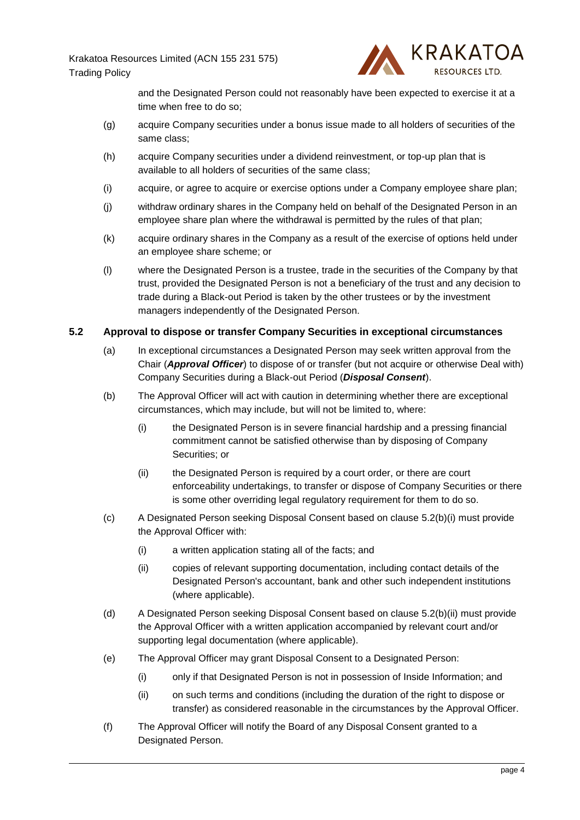

and the Designated Person could not reasonably have been expected to exercise it at a time when free to do so;

- (g) acquire Company securities under a bonus issue made to all holders of securities of the same class;
- (h) acquire Company securities under a dividend reinvestment, or top-up plan that is available to all holders of securities of the same class;
- (i) acquire, or agree to acquire or exercise options under a Company employee share plan;
- (j) withdraw ordinary shares in the Company held on behalf of the Designated Person in an employee share plan where the withdrawal is permitted by the rules of that plan;
- (k) acquire ordinary shares in the Company as a result of the exercise of options held under an employee share scheme; or
- (l) where the Designated Person is a trustee, trade in the securities of the Company by that trust, provided the Designated Person is not a beneficiary of the trust and any decision to trade during a Black-out Period is taken by the other trustees or by the investment managers independently of the Designated Person.

#### **5.2 Approval to dispose or transfer Company Securities in exceptional circumstances**

- (a) In exceptional circumstances a Designated Person may seek written approval from the Chair (*Approval Officer*) to dispose of or transfer (but not acquire or otherwise Deal with) Company Securities during a Black-out Period (*Disposal Consent*).
- <span id="page-4-0"></span>(b) The Approval Officer will act with caution in determining whether there are exceptional circumstances, which may include, but will not be limited to, where:
	- (i) the Designated Person is in severe financial hardship and a pressing financial commitment cannot be satisfied otherwise than by disposing of Company Securities; or
	- (ii) the Designated Person is required by a court order, or there are court enforceability undertakings, to transfer or dispose of Company Securities or there is some other overriding legal regulatory requirement for them to do so.
- <span id="page-4-1"></span>(c) A Designated Person seeking Disposal Consent based on clause [5.2\(b\)\(i\)](#page-4-0) must provide the Approval Officer with:
	- (i) a written application stating all of the facts; and
	- (ii) copies of relevant supporting documentation, including contact details of the Designated Person's accountant, bank and other such independent institutions (where applicable).
- (d) A Designated Person seeking Disposal Consent based on clause [5.2\(b\)\(ii\)](#page-4-1) must provide the Approval Officer with a written application accompanied by relevant court and/or supporting legal documentation (where applicable).
- (e) The Approval Officer may grant Disposal Consent to a Designated Person:
	- (i) only if that Designated Person is not in possession of Inside Information; and
	- (ii) on such terms and conditions (including the duration of the right to dispose or transfer) as considered reasonable in the circumstances by the Approval Officer.
- (f) The Approval Officer will notify the Board of any Disposal Consent granted to a Designated Person.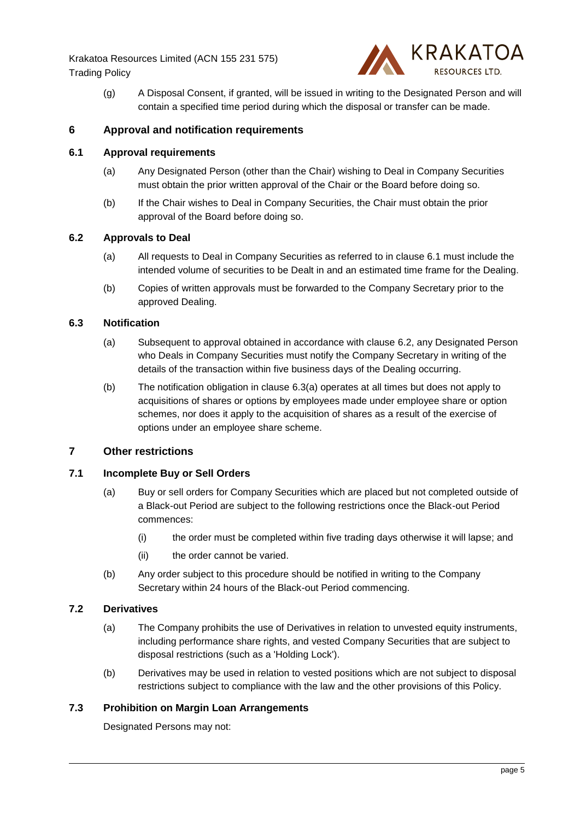

(g) A Disposal Consent, if granted, will be issued in writing to the Designated Person and will contain a specified time period during which the disposal or transfer can be made.

## <span id="page-5-0"></span>**6 Approval and notification requirements**

### <span id="page-5-1"></span>**6.1 Approval requirements**

- (a) Any Designated Person (other than the Chair) wishing to Deal in Company Securities must obtain the prior written approval of the Chair or the Board before doing so.
- (b) If the Chair wishes to Deal in Company Securities, the Chair must obtain the prior approval of the Board before doing so.

### <span id="page-5-2"></span>**6.2 Approvals to Deal**

- (a) All requests to Deal in Company Securities as referred to in clause [6.1](#page-5-1) must include the intended volume of securities to be Dealt in and an estimated time frame for the Dealing.
- (b) Copies of written approvals must be forwarded to the Company Secretary prior to the approved Dealing.

### <span id="page-5-3"></span>**6.3 Notification**

- (a) Subsequent to approval obtained in accordance with clause [6.2,](#page-5-2) any Designated Person who Deals in Company Securities must notify the Company Secretary in writing of the details of the transaction within five business days of the Dealing occurring.
- (b) The notification obligation in clause [6.3\(a\)](#page-5-3) operates at all times but does not apply to acquisitions of shares or options by employees made under employee share or option schemes, nor does it apply to the acquisition of shares as a result of the exercise of options under an employee share scheme.

### **7 Other restrictions**

### **7.1 Incomplete Buy or Sell Orders**

- (a) Buy or sell orders for Company Securities which are placed but not completed outside of a Black-out Period are subject to the following restrictions once the Black-out Period commences:
	- (i) the order must be completed within five trading days otherwise it will lapse; and
	- (ii) the order cannot be varied.
- (b) Any order subject to this procedure should be notified in writing to the Company Secretary within 24 hours of the Black-out Period commencing.

### **7.2 Derivatives**

- (a) The Company prohibits the use of Derivatives in relation to unvested equity instruments, including performance share rights, and vested Company Securities that are subject to disposal restrictions (such as a 'Holding Lock').
- (b) Derivatives may be used in relation to vested positions which are not subject to disposal restrictions subject to compliance with the law and the other provisions of this Policy.

### **7.3 Prohibition on Margin Loan Arrangements**

Designated Persons may not: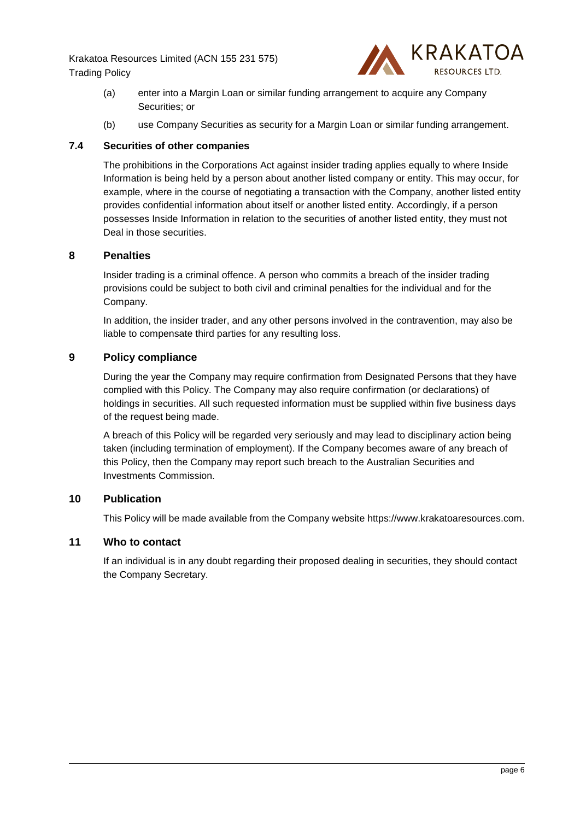

- (a) enter into a Margin Loan or similar funding arrangement to acquire any Company Securities; or
- (b) use Company Securities as security for a Margin Loan or similar funding arrangement.

## **7.4 Securities of other companies**

The prohibitions in the Corporations Act against insider trading applies equally to where Inside Information is being held by a person about another listed company or entity. This may occur, for example, where in the course of negotiating a transaction with the Company, another listed entity provides confidential information about itself or another listed entity. Accordingly, if a person possesses Inside Information in relation to the securities of another listed entity, they must not Deal in those securities.

## **8 Penalties**

Insider trading is a criminal offence. A person who commits a breach of the insider trading provisions could be subject to both civil and criminal penalties for the individual and for the Company.

In addition, the insider trader, and any other persons involved in the contravention, may also be liable to compensate third parties for any resulting loss.

## **9 Policy compliance**

During the year the Company may require confirmation from Designated Persons that they have complied with this Policy. The Company may also require confirmation (or declarations) of holdings in securities. All such requested information must be supplied within five business days of the request being made.

A breach of this Policy will be regarded very seriously and may lead to disciplinary action being taken (including termination of employment). If the Company becomes aware of any breach of this Policy, then the Company may report such breach to the Australian Securities and Investments Commission.

## **10 Publication**

This Policy will be made available from the Company website https://www.krakatoaresources.com.

## **11 Who to contact**

If an individual is in any doubt regarding their proposed dealing in securities, they should contact the Company Secretary.